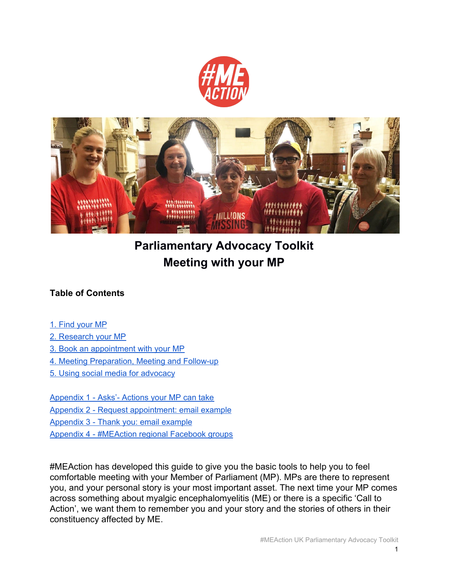



# **Parliamentary Advocacy Toolkit Meeting with your MP**

#### **Table of Contents**

- 1. Find [your](#page-1-0) MP
- 2. [Research](#page-1-1) your MP
- 3. Book an [appointment](#page-1-2) with your MP
- 4. Meeting [Preparation,](#page-2-0) Meeting and Follow-up
- 5. Using social media for [advocacy](#page-3-0)

[Appendix](#page-4-0) 1 - Asks'- Actions your MP can take

- Appendix 2 Request [appointment:](#page-6-0) email example
- [Appendix](#page-7-0) 3 Thank you: email example
- Appendix 4 [#MEAction](#page-8-0) regional Facebook groups

#MEAction has developed this guide to give you the basic tools to help you to feel comfortable meeting with your Member of Parliament (MP). MPs are there to represent you, and your personal story is your most important asset. The next time your MP comes across something about myalgic encephalomyelitis (ME) or there is a specific 'Call to Action', we want them to remember you and your story and the stories of others in their constituency affected by ME.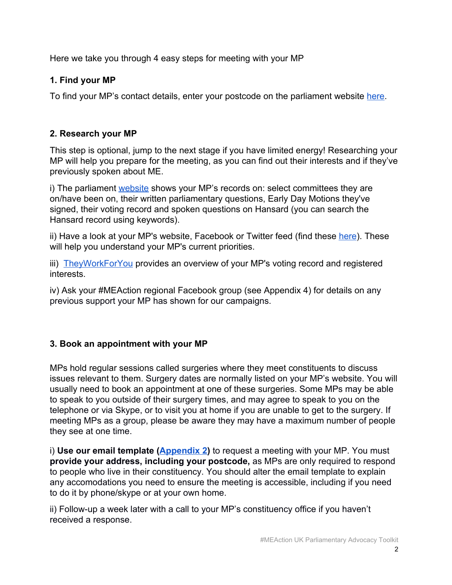Here we take you through 4 easy steps for meeting with your MP

#### <span id="page-1-0"></span>**1. Find your MP**

To find your MP's contact details, enter your postcode on the parliament website [here](https://www.parliament.uk/mps-lords-and-offices/mps/).

### <span id="page-1-1"></span>**2. Research your MP**

This step is optional, jump to the next stage if you have limited energy! Researching your MP will help you prepare for the meeting, as you can find out their interests and if they've previously spoken about ME.

i) The parliament [website](https://www.parliament.uk/mps-lords-and-offices/mps/) shows your MP's records on: select committees they are on/have been on, their written parliamentary questions, Early Day Motions they've signed, their voting record and spoken questions on Hansard (you can search the Hansard record using keywords).

ii) Have a look at your MP's website, Facebook or Twitter feed (find these [here](https://tweetyourmp.com/)). These will help you understand your MP's current priorities.

iii) [TheyWorkForYou](http://www.theyworkforyou.com/mps) provides an overview of your MP's voting record and registered interests.

iv) Ask your #MEAction regional Facebook group (see Appendix 4) for details on any previous support your MP has shown for our campaigns.

### <span id="page-1-2"></span>**3. Book an appointment with your MP**

MPs hold regular sessions called surgeries where they meet constituents to discuss issues relevant to them. Surgery dates are normally listed on your MP's website. You will usually need to book an appointment at one of these surgeries. Some MPs may be able to speak to you outside of their surgery times, and may agree to speak to you on the telephone or via Skype, or to visit you at home if you are unable to get to the surgery. If meeting MPs as a group, please be aware they may have a maximum number of people they see at one time.

i) **Use our email template [\(Appendix 2\)](#page-6-0)** to request a meeting with your MP. You must **provide your address, including your postcode,** as MPs are only required to respond to people who live in their constituency. You should alter the email template to explain any accomodations you need to ensure the meeting is accessible, including if you need to do it by phone/skype or at your own home.

ii) Follow-up a week later with a call to your MP's constituency office if you haven't received a response.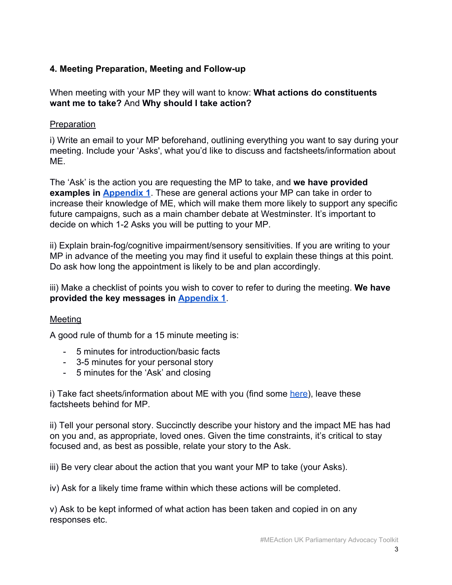#### <span id="page-2-0"></span>**4. Meeting Preparation, Meeting and Follow-up**

When meeting with your MP they will want to know: **What actions do constituents want me to take?** And **Why should I take action?**

#### Preparation

i) Write an email to your MP beforehand, outlining everything you want to say during your meeting. Include your 'Asks', what you'd like to discuss and factsheets/information about ME.

The 'Ask' is the action you are requesting the MP to take, and **we have provided examples in [Appendix 1](#page-4-0)**. These are general actions your MP can take in order to increase their knowledge of ME, which will make them more likely to support any specific future campaigns, such as a main chamber debate at Westminster. It's important to decide on which 1-2 Asks you will be putting to your MP.

ii) Explain brain-fog/cognitive impairment/sensory sensitivities. If you are writing to your MP in advance of the meeting you may find it useful to explain these things at this point. Do ask how long the appointment is likely to be and plan accordingly.

iii) Make a checklist of points you wish to cover to refer to during the meeting. **We have provided the key messages in [Appendix 1](#page-4-0)**.

#### Meeting

A good rule of thumb for a 15 minute meeting is:

- 5 minutes for introduction/basic facts
- 3-5 minutes for your personal story
- 5 minutes for the 'Ask' and closing

i) Take fact sheets/information about ME with you (find some [here\)](https://www.meaction.net/resources/#reports), leave these factsheets behind for MP.

ii) Tell your personal story. Succinctly describe your history and the impact ME has had on you and, as appropriate, loved ones. Given the time constraints, it's critical to stay focused and, as best as possible, relate your story to the Ask.

iii) Be very clear about the action that you want your MP to take (your Asks).

iv) Ask for a likely time frame within which these actions will be completed.

v) Ask to be kept informed of what action has been taken and copied in on any responses etc.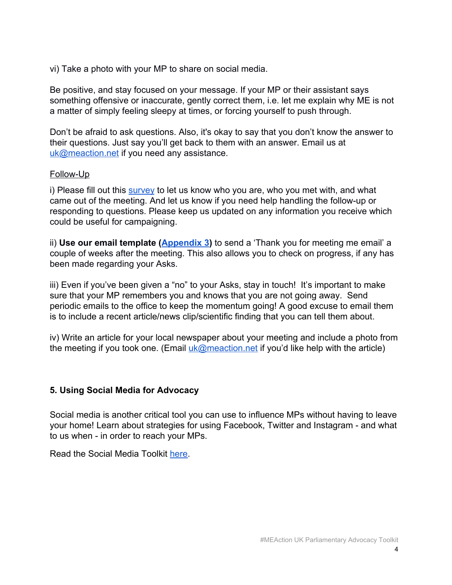vi) Take a photo with your MP to share on social media.

Be positive, and stay focused on your message. If your MP or their assistant says something offensive or inaccurate, gently correct them, i.e. let me explain why ME is not a matter of simply feeling sleepy at times, or forcing yourself to push through.

Don't be afraid to ask questions. Also, it's okay to say that you don't know the answer to their questions. Just say you'll get back to them with an answer. Email us at [uk@meaction.net](mailto:uk@meaction.net) if you need any assistance.

#### Follow-Up

i) Please fill out this [survey](https://docs.google.com/forms/d/e/1FAIpQLSfr4Meiv1iA1Kx1oboSBhnsMoqncEJ-arwMocjn8931FWA4Xg/viewform) to let us know who you are, who you met with, and what came out of the meeting. And let us know if you need help handling the follow-up or responding to questions. Please keep us updated on any information you receive which could be useful for campaigning.

ii) **Use our email template ([Appendix 3\)](#page-7-0)** to send a 'Thank you for meeting me email' a couple of weeks after the meeting. This also allows you to check on progress, if any has been made regarding your Asks.

iii) Even if you've been given a "no" to your Asks, stay in touch! It's important to make sure that your MP remembers you and knows that you are not going away. Send periodic emails to the office to keep the momentum going! A good excuse to email them is to include a recent article/news clip/scientific finding that you can tell them about.

iv) Write an article for your local newspaper about your meeting and include a photo from the meeting if you took one. (Email  $uk@measurement$  meaction.net if you'd like help with the article)

#### <span id="page-3-0"></span>**5. Using Social Media for Advocacy**

Social media is another critical tool you can use to influence MPs without having to leave your home! Learn about strategies for using Facebook, Twitter and Instagram - and what to us when - in order to reach your MPs.

Read the Social Media Toolkit [here](http://www.meaction.net/wp-content/uploads/2018/10/UK-SOCIAL-MEDIA-TOOLKIT.pdf).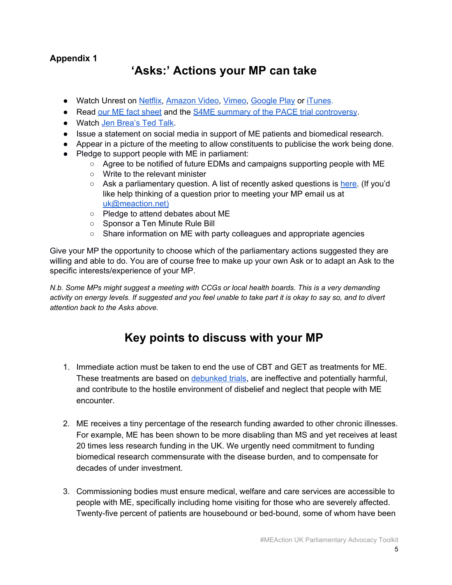## **'Asks:' Actions your MP can take**

- <span id="page-4-0"></span>● Watch Unrest on [Netflix,](https://www.netflix.com/title/80168300) [Amazon](https://www.amazon.co.uk/Unrest-Jennifer-Brea/dp/B075LS6ZTZ) Video, [Vimeo,](https://vimeo.com/ondemand/unrest) [Google](https://play.google.com/store/movies/details/Unrest?id=iTC0y4l1Jgc) Play or [iTunes](http://geni.us/Y4Nu).
- Read our ME fact [sheet](https://www.meaction.net/wp-content/uploads/2018/10/MEAction-UK-Factsheet.pdf) and the S4ME summary of the PACE trial [controversy](https://www.s4me.info/docs/PaceBriefing3.pdf).
- Watch Jen [Brea's](https://www.ted.com/talks/jen_brea_what_happens_when_you_have_a_disease_doctors_can_t_diagnose?language=en) Ted Talk.
- Issue a statement on social media in support of ME patients and biomedical research.
- Appear in a picture of the meeting to allow constituents to publicise the work being done.
- Pledge to support people with ME in parliament:
	- $\circ$  Agree to be notified of future EDMs and campaigns supporting people with ME
	- Write to the relevant minister
	- $\circ$  Ask a parliamentary question. A list of recently asked questions is [here.](https://drive.google.com/a/meaction.net/file/d/1ntzSxpOsFTZLxbgc-w7m-5-Az_me8JEg/view?usp=sharing) (If you'd like help thinking of a question prior to meeting your MP email us at [uk@meaction.net\)](mailto:uk@meaction.net)
	- Pledge to attend debates about ME
	- Sponsor a Ten Minute Rule Bill
	- Share information on ME with party colleagues and appropriate agencies

Give your MP the opportunity to choose which of the parliamentary actions suggested they are willing and able to do. You are of course free to make up your own Ask or to adapt an Ask to the specific interests/experience of your MP.

*N.b. Some MPs might suggest a meeting with CCGs or local health boards. This is a very demanding* activity on energy levels. If suggested and you feel unable to take part it is okay to say so, and to divert *attention back to the Asks above.*

### **Key points to discuss with your MP**

- 1. Immediate action must be taken to end the use of CBT and GET as treatments for ME. These treatments are based on [debunked](https://www.s4me.info/docs/PaceBriefing3.pdf) trials, are ineffective and potentially harmful, and contribute to the hostile environment of disbelief and neglect that people with ME encounter.
- 2. ME receives a tiny percentage of the research funding awarded to other chronic illnesses. For example, ME has been shown to be more disabling than MS and yet receives at least 20 times less research funding in the UK. We urgently need commitment to funding biomedical research commensurate with the disease burden, and to compensate for decades of under investment.
- 3. Commissioning bodies must ensure medical, welfare and care services are accessible to people with ME, specifically including home visiting for those who are severely affected. Twenty-five percent of patients are housebound or bed-bound, some of whom have been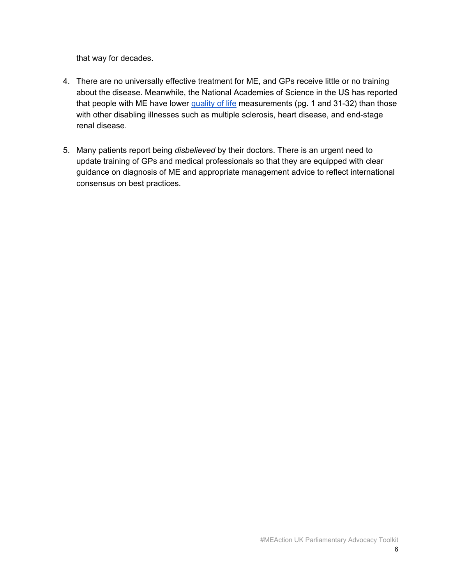that way for decades.

- 4. There are no universally effective treatment for ME, and GPs receive little or no training about the disease. Meanwhile, the National Academies of Science in the US has reported that people with ME have lower [quality](https://www.nap.edu/read/19012/chapter/1) of life measurements (pg. 1 and 31-32) than those with other disabling illnesses such as multiple sclerosis, heart disease, and end-stage renal disease.
- 5. Many patients report being *disbelieved* by their doctors. There is an urgent need to update training of GPs and medical professionals so that they are equipped with clear guidance on diagnosis of ME and appropriate management advice to reflect international consensus on best practices.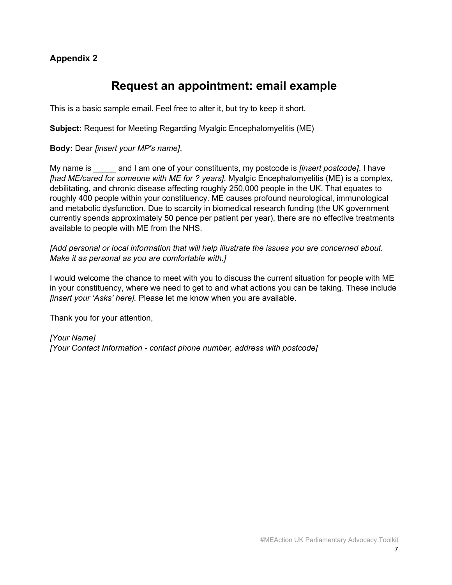### **Request an appointment: email example**

<span id="page-6-0"></span>This is a basic sample email. Feel free to alter it, but try to keep it short.

**Subject:** Request for Meeting Regarding Myalgic Encephalomyelitis (ME)

**Body:** Dear *[insert your MP's name]*,

My name is **the and I am one of your constituents**, my postcode is *finsert postcode]*. I have *[had ME/cared for someone with ME for ? years]*. Myalgic Encephalomyelitis (ME) is a complex, debilitating, and chronic disease affecting roughly 250,000 people in the UK. That equates to roughly 400 people within your constituency. ME causes profound neurological, immunological and metabolic dysfunction. Due to scarcity in biomedical research funding (the UK government currently spends approximately 50 pence per patient per year), there are no effective treatments available to people with ME from the NHS.

*[Add personal or local information that will help illustrate the issues you are concerned about. Make it as personal as you are comfortable with.]*

I would welcome the chance to meet with you to discuss the current situation for people with ME in your constituency, where we need to get to and what actions you can be taking. These include *[insert your 'Asks' here].* Please let me know when you are available.

Thank you for your attention,

*[Your Name] [Your Contact Information - contact phone number, address with postcode]*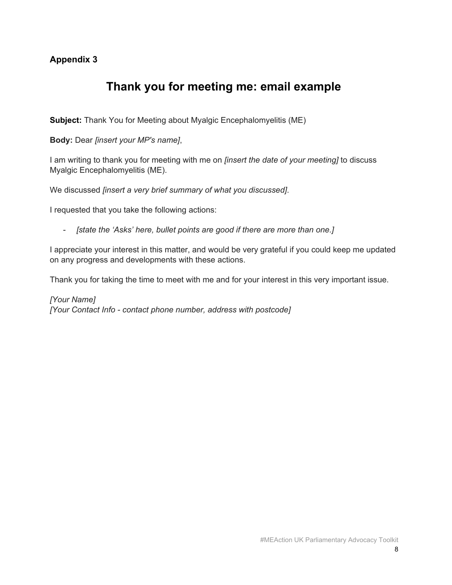### <span id="page-7-0"></span>**Thank you for meeting me: email example**

**Subject:** Thank You for Meeting about Myalgic Encephalomyelitis (ME)

**Body:** Dear *[insert your MP's name]*,

I am writing to thank you for meeting with me on *[insert the date of your meeting]* to discuss Myalgic Encephalomyelitis (ME).

We discussed *[insert a very brief summary of what you discussed]*.

I requested that you take the following actions:

- *[state the 'Asks' here, bullet points are good if there are more than one.]*

I appreciate your interest in this matter, and would be very grateful if you could keep me updated on any progress and developments with these actions.

Thank you for taking the time to meet with me and for your interest in this very important issue.

*[Your Name] [Your Contact Info - contact phone number, address with postcode]*